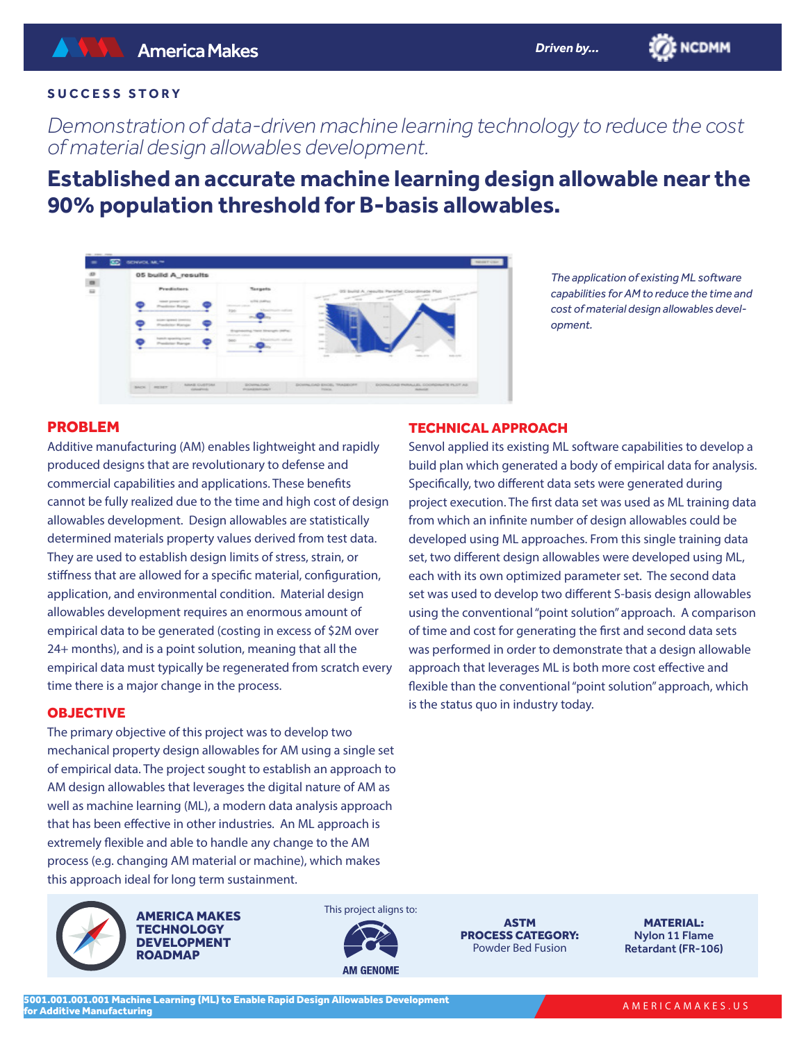*Demonstration of data-driven machine learning technology to reduce the cost of material design allowables development.*

# **Established an accurate machine learning design allowable near the 90% population threshold for B-basis allowables.**



*The application of existing ML software capabilities for AM to reduce the time and cost of material design allowables development.*

**BE NCDMM** 

## PROBLEM

Additive manufacturing (AM) enables lightweight and rapidly produced designs that are revolutionary to defense and commercial capabilities and applications. These benefits cannot be fully realized due to the time and high cost of design allowables development. Design allowables are statistically determined materials property values derived from test data. They are used to establish design limits of stress, strain, or stiffness that are allowed for a specific material, configuration, application, and environmental condition. Material design allowables development requires an enormous amount of empirical data to be generated (costing in excess of \$2M over 24+ months), and is a point solution, meaning that all the empirical data must typically be regenerated from scratch every time there is a major change in the process.

#### OBJECTIVE

The primary objective of this project was to develop two mechanical property design allowables for AM using a single set of empirical data. The project sought to establish an approach to AM design allowables that leverages the digital nature of AM as well as machine learning (ML), a modern data analysis approach that has been effective in other industries. An ML approach is extremely flexible and able to handle any change to the AM process (e.g. changing AM material or machine), which makes this approach ideal for long term sustainment.



This project aligns to:



ASTM PROCESS CATEGORY: Powder Bed Fusion

MATERIAL: Nylon 11 Flame Retardant (FR-106)

## TECHNICAL APPROACH

Senvol applied its existing ML software capabilities to develop a build plan which generated a body of empirical data for analysis. Specifically, two different data sets were generated during project execution. The first data set was used as ML training data from which an infinite number of design allowables could be developed using ML approaches. From this single training data set, two different design allowables were developed using ML, each with its own optimized parameter set. The second data set was used to develop two different S-basis design allowables using the conventional "point solution" approach. A comparison of time and cost for generating the first and second data sets was performed in order to demonstrate that a design allowable approach that leverages ML is both more cost effective and flexible than the conventional "point solution" approach, which is the status quo in industry today.

*Driven by...*